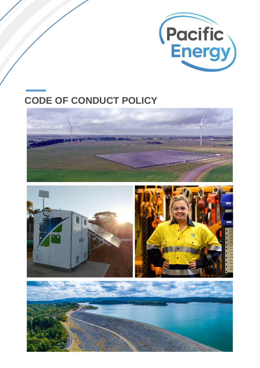

# **CODE OF CONDUCT POLICY**





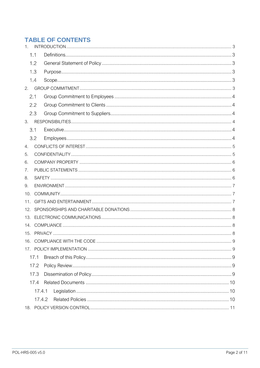# **TABLE OF CONTENTS**

| 1.     |        |  |  |  |  |  |  |  |
|--------|--------|--|--|--|--|--|--|--|
|        | 1.1    |  |  |  |  |  |  |  |
|        | 1.2    |  |  |  |  |  |  |  |
|        | 1.3    |  |  |  |  |  |  |  |
|        | 1.4    |  |  |  |  |  |  |  |
| 2.     |        |  |  |  |  |  |  |  |
| 2.1    |        |  |  |  |  |  |  |  |
|        | 2.2    |  |  |  |  |  |  |  |
|        | 2.3    |  |  |  |  |  |  |  |
| 3.     |        |  |  |  |  |  |  |  |
| 3.1    |        |  |  |  |  |  |  |  |
|        | 3.2    |  |  |  |  |  |  |  |
| 4.     |        |  |  |  |  |  |  |  |
| 5.     |        |  |  |  |  |  |  |  |
| 6.     |        |  |  |  |  |  |  |  |
| 7.     |        |  |  |  |  |  |  |  |
| 8.     |        |  |  |  |  |  |  |  |
| 9.     |        |  |  |  |  |  |  |  |
| 10.    |        |  |  |  |  |  |  |  |
| 11.    |        |  |  |  |  |  |  |  |
| 12.    |        |  |  |  |  |  |  |  |
| 13.    |        |  |  |  |  |  |  |  |
| 14.    |        |  |  |  |  |  |  |  |
| 15.    |        |  |  |  |  |  |  |  |
|        |        |  |  |  |  |  |  |  |
|        |        |  |  |  |  |  |  |  |
|        | 17.1   |  |  |  |  |  |  |  |
|        | 17.2   |  |  |  |  |  |  |  |
| 17.3   |        |  |  |  |  |  |  |  |
| 17.4   |        |  |  |  |  |  |  |  |
|        | 17.4.1 |  |  |  |  |  |  |  |
| 17.4.2 |        |  |  |  |  |  |  |  |
|        |        |  |  |  |  |  |  |  |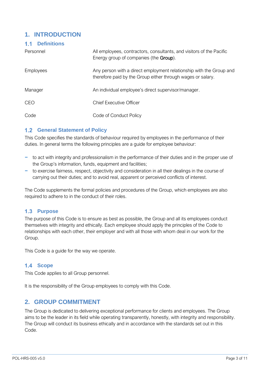# <span id="page-2-0"></span>**1. INTRODUCTION**

#### <span id="page-2-1"></span>**Definitions**

| Personnel        | All employees, contractors, consultants, and visitors of the Pacific<br>Energy group of companies (the <b>Group</b> ).             |
|------------------|------------------------------------------------------------------------------------------------------------------------------------|
| <b>Employees</b> | Any person with a direct employment relationship with the Group and<br>therefore paid by the Group either through wages or salary. |
| Manager          | An individual employee's direct supervisor/manager.                                                                                |
| <b>CEO</b>       | <b>Chief Executive Officer</b>                                                                                                     |
| Code             | Code of Conduct Policy                                                                                                             |

## <span id="page-2-2"></span>**1.2 General Statement of Policy**

This Code specifies the standards of behaviour required by employees in the performance of their duties. In general terms the following principles are a guide for employee behaviour:

- − to act with integrity and professionalism in the performance of their duties and in the proper use of the Group's information, funds, equipment and facilities;
- − to exercise fairness, respect, objectivity and consideration in all their dealings in the course of carrying out their duties; and to avoid real, apparent or perceived conflicts of interest.

The Code supplements the formal policies and procedures of the Group, which employees are also required to adhere to in the conduct of their roles.

#### <span id="page-2-3"></span>**Purpose**

The purpose of this Code is to ensure as best as possible, the Group and all its employees conduct themselves with integrity and ethically. Each employee should apply the principles of the Code to relationships with each other, their employer and with all those with whom deal in our work for the Group.

This Code is a guide for the way we operate.

## <span id="page-2-4"></span>1.4 Scope

This Code applies to all Group personnel.

It is the responsibility of the Group employees to comply with this Code.

## <span id="page-2-5"></span>**2. GROUP COMMITMENT**

The Group is dedicated to delivering exceptional performance for clients and employees. The Group aims to be the leader in its field while operating transparently, honestly, with integrity and responsibility. The Group will conduct its business ethically and in accordance with the standards set out in this Code.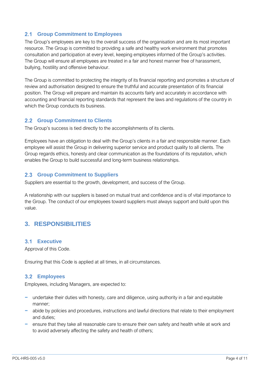## <span id="page-3-0"></span>**Group Commitment to Employees**

The Group's employees are key to the overall success of the organisation and are its most important resource. The Group is committed to providing a safe and healthy work environment that promotes consultation and participation at every level, keeping employees informed of the Group's activities. The Group will ensure all employees are treated in a fair and honest manner free of harassment, bullying, hostility and offensive behaviour.

The Group is committed to protecting the integrity of its financial reporting and promotes a structure of review and authorisation designed to ensure the truthful and accurate presentation of its financial position. The Group will prepare and maintain its accounts fairly and accurately in accordance with accounting and financial reporting standards that represent the laws and regulations of the country in which the Group conducts its business.

#### <span id="page-3-1"></span>**Group Commitment to Clients**

The Group's success is tied directly to the accomplishments of its clients.

Employees have an obligation to deal with the Group's clients in a fair and responsible manner. Each employee will assist the Group in delivering superior service and product quality to all clients. The Group regards ethics, honesty and clear communication as the foundations of its reputation, which enables the Group to build successful and long-term business relationships.

## <span id="page-3-2"></span>**2.3 Group Commitment to Suppliers**

Suppliers are essential to the growth, development, and success of the Group.

A relationship with our suppliers is based on mutual trust and confidence and is of vital importance to the Group. The conduct of our employees toward suppliers must always support and build upon this value.

# <span id="page-3-3"></span>**3. RESPONSIBILITIES**

#### <span id="page-3-4"></span>**Executive**

Approval of this Code.

Ensuring that this Code is applied at all times, in all circumstances.

#### <span id="page-3-5"></span>**Employees**

Employees, including Managers, are expected to:

- − undertake their duties with honesty, care and diligence, using authority in a fair and equitable manner;
- − abide by policies and procedures, instructions and lawful directions that relate to their employment and duties;
- − ensure that they take all reasonable care to ensure their own safety and health while at work and to avoid adversely affecting the safety and health of others;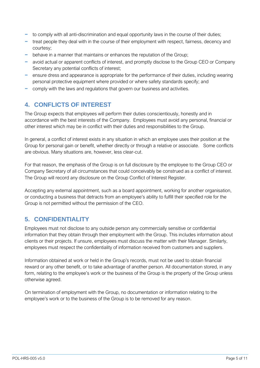- − to comply with all anti-discrimination and equal opportunity laws in the course of their duties;
- − treat people they deal with in the course of their employment with respect, fairness, decency and courtesy;
- − behave in a manner that maintains or enhances the reputation of the Group;
- avoid actual or apparent conflicts of interest, and promptly disclose to the Group CEO or Company Secretary any potential conflicts of interest;
- − ensure dress and appearance is appropriate for the performance of their duties, including wearing personal protective equipment where provided or where safety standards specify; and
- − comply with the laws and regulations that govern our business and activities.

# <span id="page-4-0"></span>**4. CONFLICTS OF INTEREST**

The Group expects that employees will perform their duties conscientiously, honestly and in accordance with the best interests of the Company. Employees must avoid any personal, financial or other interest which may be in conflict with their duties and responsibilities to the Group.

In general, a conflict of interest exists in any situation in which an employee uses their position at the Group for personal gain or benefit, whether directly or through a relative or associate. Some conflicts are obvious. Many situations are, however, less clear-cut.

For that reason, the emphasis of the Group is on full disclosure by the employee to the Group CEO or Company Secretary of all circumstances that could conceivably be construed as a conflict of interest. The Group will record any disclosure on the Group Conflict of Interest Register.

Accepting any external appointment, such as a board appointment, working for another organisation, or conducting a business that detracts from an employee's ability to fulfill their specified role for the Group is not permitted without the permission of the CEO.

# <span id="page-4-1"></span>**5. CONFIDENTIALITY**

Employees must not disclose to any outside person any commercially sensitive or confidential information that they obtain through their employment with the Group. This includes information about clients or their projects. If unsure, employees must discuss the matter with their Manager. Similarly, employees must respect the confidentiality of information received from customers and suppliers.

Information obtained at work or held in the Group's records, must not be used to obtain financial reward or any other benefit, or to take advantage of another person. All documentation stored, in any form, relating to the employee's work or the business of the Group is the property of the Group unless otherwise agreed.

On termination of employment with the Group, no documentation or information relating to the employee's work or to the business of the Group is to be removed for any reason.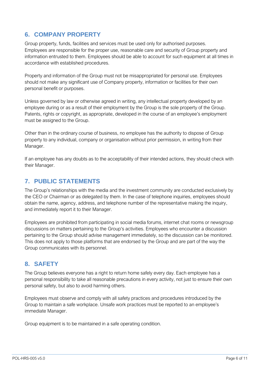# <span id="page-5-0"></span>**6. COMPANY PROPERTY**

Group property, funds, facilities and services must be used only for authorised purposes. Employees are responsible for the proper use, reasonable care and security of Group property and information entrusted to them. Employees should be able to account for such equipment at all times in accordance with established procedures.

Property and information of the Group must not be misappropriated for personal use. Employees should not make any significant use of Company property, information or facilities for their own personal benefit or purposes.

Unless governed by law or otherwise agreed in writing, any intellectual property developed by an employee during or as a result of their employment by the Group is the sole property of the Group. Patents, rights or copyright, as appropriate, developed in the course of an employee's employment must be assigned to the Group.

Other than in the ordinary course of business, no employee has the authority to dispose of Group property to any individual, company or organisation without prior permission, in writing from their Manager.

If an employee has any doubts as to the acceptability of their intended actions, they should check with their Manager.

# <span id="page-5-1"></span>**7. PUBLIC STATEMENTS**

The Group's relationships with the media and the investment community are conducted exclusively by the CEO or Chairman or as delegated by them. In the case of telephone inquiries, employees should obtain the name, agency, address, and telephone number of the representative making the inquiry, and immediately report it to their Manager.

Employees are prohibited from participating in social media forums, internet chat rooms or newsgroup discussions on matters pertaining to the Group's activities. Employees who encounter a discussion pertaining to the Group should advise management immediately, so the discussion can be monitored. This does not apply to those platforms that are endorsed by the Group and are part of the way the Group communicates with its personnel.

# <span id="page-5-2"></span>**8. SAFETY**

The Group believes everyone has a right to return home safely every day. Each employee has a personal responsibility to take all reasonable precautions in every activity, not just to ensure their own personal safety, but also to avoid harming others.

Employees must observe and comply with all safety practices and procedures introduced by the Group to maintain a safe workplace. Unsafe work practices must be reported to an employee's immediate Manager.

Group equipment is to be maintained in a safe operating condition.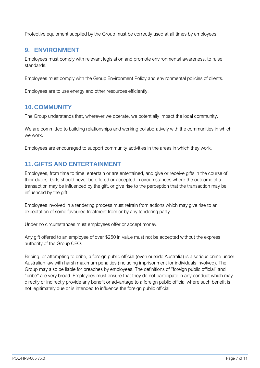Protective equipment supplied by the Group must be correctly used at all times by employees.

## <span id="page-6-0"></span>**9. ENVIRONMENT**

Employees must comply with relevant legislation and promote environmental awareness, to raise standards.

Employees must comply with the Group Environment Policy and environmental policies of clients.

Employees are to use energy and other resources efficiently.

# <span id="page-6-1"></span>**10. COMMUNITY**

The Group understands that, wherever we operate, we potentially impact the local community.

We are committed to building relationships and working collaboratively with the communities in which we work.

Employees are encouraged to support community activities in the areas in which they work.

# <span id="page-6-2"></span>**11.GIFTS AND ENTERTAINMENT**

Employees, from time to time, entertain or are entertained, and give or receive gifts in the course of their duties. Gifts should never be offered or accepted in circumstances where the outcome of a transaction may be influenced by the gift, or give rise to the perception that the transaction may be influenced by the gift.

Employees involved in a tendering process must refrain from actions which may give rise to an expectation of some favoured treatment from or by any tendering party.

Under no circumstances must employees offer or accept money.

Any gift offered to an employee of over \$250 in value must not be accepted without the express authority of the Group CEO.

Bribing, or attempting to bribe, a foreign public official (even outside Australia) is a serious crime under Australian law with harsh maximum penalties (including imprisonment for individuals involved). The Group may also be liable for breaches by employees. The definitions of "foreign public official" and "bribe" are very broad. Employees must ensure that they do not participate in any conduct which may directly or indirectly provide any benefit or advantage to a foreign public official where such benefit is not legitimately due or is intended to influence the foreign public official.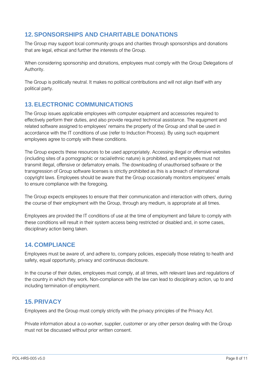# <span id="page-7-0"></span>**12.SPONSORSHIPS AND CHARITABLE DONATIONS**

The Group may support local community groups and charities through sponsorships and donations that are legal, ethical and further the interests of the Group.

When considering sponsorship and donations, employees must comply with the Group Delegations of Authority.

The Group is politically neutral. It makes no political contributions and will not align itself with any political party.

# <span id="page-7-1"></span>**13.ELECTRONIC COMMUNICATIONS**

The Group issues applicable employees with computer equipment and accessories required to effectively perform their duties, and also provide required technical assistance. The equipment and related software assigned to employees' remains the property of the Group and shall be used in accordance with the IT conditions of use (refer to Induction Process). By using such equipment employees agree to comply with these conditions.

The Group expects these resources to be used appropriately. Accessing illegal or offensive websites (including sites of a pornographic or racial/ethnic nature) is prohibited, and employees must not transmit illegal, offensive or defamatory emails. The downloading of unauthorised software or the transgression of Group software licenses is strictly prohibited as this is a breach of international copyright laws. Employees should be aware that the Group occasionally monitors employees' emails to ensure compliance with the foregoing.

The Group expects employees to ensure that their communication and interaction with others, during the course of their employment with the Group, through any medium, is appropriate at all times.

Employees are provided the IT conditions of use at the time of employment and failure to comply with these conditions will result in their system access being restricted or disabled and, in some cases, disciplinary action being taken.

# <span id="page-7-2"></span>**14. COMPLIANCE**

Employees must be aware of, and adhere to, company policies, especially those relating to health and safety, equal opportunity, privacy and continuous disclosure.

In the course of their duties, employees must comply, at all times, with relevant laws and regulations of the country in which they work. Non-compliance with the law can lead to disciplinary action, up to and including termination of employment.

# <span id="page-7-3"></span>**15.PRIVACY**

Employees and the Group must comply strictly with the privacy principles of the Privacy Act.

Private information about a co-worker, supplier, customer or any other person dealing with the Group must not be discussed without prior written consent.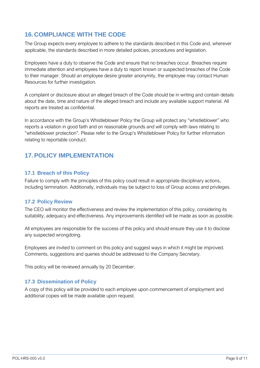# <span id="page-8-0"></span>**16. COMPLIANCE WITH THE CODE**

The Group expects every employee to adhere to the standards described in this Code and, wherever applicable, the standards described in more detailed policies, procedures and legislation.

Employees have a duty to observe the Code and ensure that no breaches occur. Breaches require immediate attention and employees have a duty to report known or suspected breaches of the Code to their manager. Should an employee desire greater anonymity, the employee may contact Human Resources for further investigation.

A complaint or disclosure about an alleged breach of the Code should be in writing and contain details about the date, time and nature of the alleged breach and include any available support material. All reports are treated as confidential.

In accordance with the Group's Whistleblower Policy the Group will protect any "whistleblower" who reports a violation in good faith and on reasonable grounds and will comply with laws relating to "whistleblower protection". Please refer to the Group's Whistleblower Policy for further information relating to reportable conduct.

# <span id="page-8-1"></span>**17.POLICY IMPLEMENTATION**

#### <span id="page-8-2"></span>**17.1 Breach of this Policy**

Failure to comply with the principles of this policy could result in appropriate disciplinary actions, including termination. Additionally, individuals may be subject to loss of Group access and privileges.

#### <span id="page-8-3"></span>**17.2 Policy Review**

The CEO will monitor the effectiveness and review the implementation of this policy, considering its suitability, adequacy and effectiveness. Any improvements identified will be made as soon as possible.

All employees are responsible for the success of this policy and should ensure they use it to disclose any suspected wrongdoing.

Employees are invited to comment on this policy and suggest ways in which it might be improved. Comments, suggestions and queries should be addressed to the Company Secretary.

This policy will be reviewed annually by 20 December.

#### <span id="page-8-4"></span>**17.3 Dissemination of Policy**

A copy of this policy will be provided to each employee upon commencement of employment and additional copies will be made available upon request.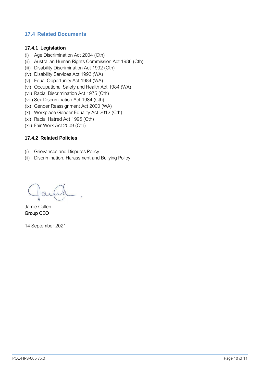## <span id="page-9-0"></span>**17.4 Related Documents**

#### <span id="page-9-1"></span>**17.4.1 Legislation**

- (i) Age Discrimination Act 2004 (Cth)
- (ii) Australian Human Rights Commission Act 1986 (Cth)
- (iii) Disability Discrimination Act 1992 (Cth)
- (iv) Disability Services Act 1993 (WA)
- (v) Equal Opportunity Act 1984 (WA)
- (vi) Occupational Safety and Health Act 1984 (WA)
- (vii) Racial Discrimination Act 1975 (Cth)
- (viii) Sex Discrimination Act 1984 (Cth)
- (ix) Gender Reassignment Act 2000 (WA)
- (x) Workplace Gender Equality Act 2012 (Cth)
- (xi) Racial Hatred Act 1995 (Cth)
- (xii) Fair Work Act 2009 (Cth)

#### <span id="page-9-2"></span>**17.4.2 Related Policies**

- (i) Grievances and Disputes Policy
- (ii) Discrimination, Harassment and Bullying Policy

Jamie Cullen Group CEO

14 September 2021